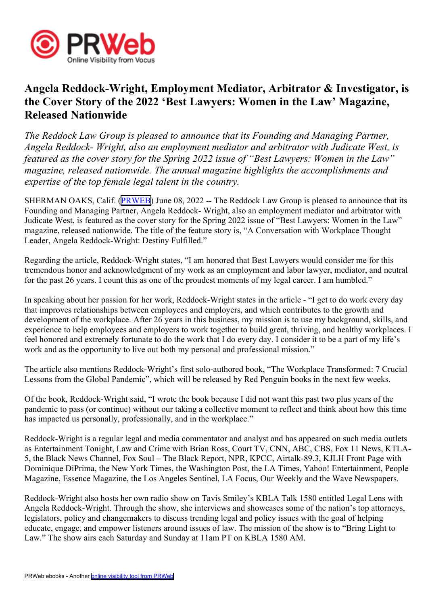

## **Angela Reddock-Wright, Employment Mediator, Arbitrator & Investigator, is the Cover Story of the 2022 'Best Lawyers: Women in the Law' Magazine, Released Nationwide**

*The Reddock Law Group is pleased to announce that its Founding and Managing Partner, Angela Reddock- Wright, also an employment mediator and arbitrator with Judicate West, is featured as the cover story for the Spring 2022 issue of "Best Lawyers: Women in the Law" magazine, released nationwide. The annual magazine highlights the accomplishments and expertise of the top female legal talent in the country.*

SHERMAN OAKS, Calif. [\(PRWEB\)](http://www.prweb.com) June 08, 2022 -- The Reddock Law Group is pleased to announce that its Founding and Managing Partner, Angela Reddock- Wright, also an employment mediator and arbitrator with Judicate West, is featured as the cover story for the Spring 2022 issue of "Best Lawyers: Women in the Law" magazine, released nationwide. The title of the feature story is, "A Conversation with Workplace Thought Leader, Angela Reddock-Wright: Destiny Fulfilled."

Regarding the article, Reddock-Wright states, "I am honored that Best Lawyers would consider me for this tremendous honor and acknowledgment of my work as an employment and labor lawyer, mediator, and neutral for the pas<sup>t</sup> 26 years. I count this as one of the proudest moments of my legal career. I am humbled."

In speaking about her passion for her work, Reddock-Wright states in the article - "I ge<sup>t</sup> to do work every day that improves relationships between employees and employers, and which contributes to the growth and development of the workplace. After 26 years in this business, my mission is to use my background, skills, and experience to help employees and employers to work together to build great, thriving, and healthy workplaces. I feel honored and extremely fortunate to do the work that I do every day. I consider it to be <sup>a</sup> par<sup>t</sup> of my life's work and as the opportunity to live out both my personal and professional mission."

The article also mentions Reddock-Wright's first solo-authored book, "The Workplace Transformed: 7 Crucial Lessons from the Global Pandemic", which will be released by Red Penguin books in the next few weeks.

Of the book, Reddock-Wright said, "I wrote the book because I did not want this pas<sup>t</sup> two plus years of the pandemic to pass (or continue) without our taking <sup>a</sup> collective moment to reflect and think about how this time has impacted us personally, professionally, and in the workplace."

Reddock-Wright is <sup>a</sup> regular legal and media commentator and analyst and has appeared on such media outlets as Entertainment Tonight, Law and Crime with Brian Ross, Court TV, CNN, ABC, CBS, Fox 11 News, KTLA-5, the Black News Channel, Fox Soul – The Black Report, NPR, KPCC, Airtalk-89.3, KJLH Front Page with Dominique DiPrima, the New York Times, the Washington Post, the LA Times, Yahoo! Entertainment, People Magazine, Essence Magazine, the Los Angeles Sentinel, LA Focus, Our Weekly and the Wave Newspapers.

Reddock-Wright also hosts her own radio show on Tavis Smiley's KBLA Talk 1580 entitled Legal Lens with Angela Reddock-Wright. Through the show, she interviews and showcases some of the nation's top attorneys, legislators, policy and changemakers to discuss trending legal and policy issues with the goal of helping educate, engage, and empower listeners around issues of law. The mission of the show is to "Bring Light to Law." The show airs each Saturday and Sunday at 11am PT on KBLA 1580 AM.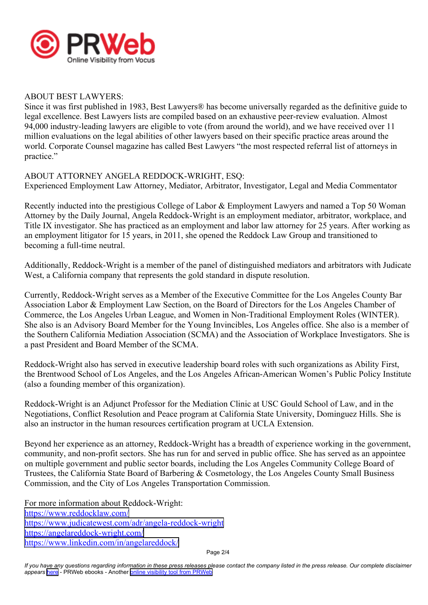

## ABOUT BEST LAWYERS:

Since it was first published in 1983, Best Lawyers® has become universally regarded as the definitive guide to legal excellence. Best Lawyers lists are compiled based on an exhaustive peer-review evaluation. Almost 94,000 industry-leading lawyers are eligible to vote (from around the world), and we have received over 11 million evaluations on the legal abilities of other lawyers based on their specific practice areas around the world. Corporate Counsel magazine has called Best Lawyers "the most respected referral list of attorneys in practice."

## ABOUT ATTORNEY ANGELA REDDOCK-WRIGHT, ESQ:

Experienced Employment Law Attorney, Mediator, Arbitrator, Investigator, Legal and Media Commentator

Recently inducted into the prestigious College of Labor & Employment Lawyers and named <sup>a</sup> Top 50 Woman Attorney by the Daily Journal, Angela Reddock-Wright is an employment mediator, arbitrator, workplace, and Title IX investigator. She has practiced as an employment and labor law attorney for 25 years. After working as an employment litigator for 15 years, in 2011, she opened the Reddock Law Group and transitioned to becoming <sup>a</sup> full-time neutral.

Additionally, Reddock-Wright is <sup>a</sup> member of the panel of distinguished mediators and arbitrators with Judicate West, <sup>a</sup> California company that represents the gold standard in dispute resolution.

Currently, Reddock-Wright serves as <sup>a</sup> Member of the Executive Committee for the Los Angeles County Bar Association Labor & Employment Law Section, on the Board of Directors for the Los Angeles Chamber of Commerce, the Los Angeles Urban League, and Women in Non-Traditional Employment Roles (WINTER). She also is an Advisory Board Member for the Young Invincibles, Los Angeles office. She also is <sup>a</sup> member of the Southern California Mediation Association (SCMA) and the Association of Workplace Investigators. She is <sup>a</sup> pas<sup>t</sup> President and Board Member of the SCMA.

Reddock-Wright also has served in executive leadership board roles with such organizations as Ability First, the Brentwood School of Los Angeles, and the Los Angeles African-American Women's Public Policy Institute (also <sup>a</sup> founding member of this organization).

Reddock-Wright is an Adjunct Professor for the Mediation Clinic at USC Gould School of Law, and in the Negotiations, Conflict Resolution and Peace program at California State University, Dominguez Hills. She is also an instructor in the human resources certification program at UCLA Extension.

Beyond her experience as an attorney, Reddock-Wright has <sup>a</sup> breadth of experience working in the government, community, and non-profit sectors. She has run for and served in public office. She has served as an appointee on multiple governmen<sup>t</sup> and public sector boards, including the Los Angeles Community College Board of Trustees, the California State Board of Barbering & Cosmetology, the Los Angeles County Small Business Commission, and the City of Los Angeles Transportation Commission.

For more information about Reddock-Wright: <https://www.reddocklaw.com/> <https://www.judicatewest.com/adr/angela-reddock-wright> <https://angelareddock-wright.com/> <https://www.linkedin.com/in/angelareddock/>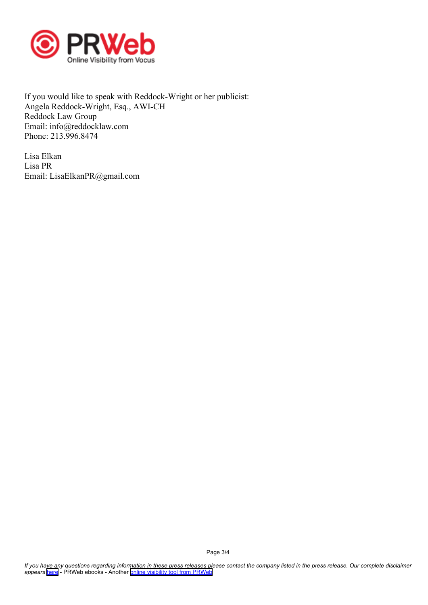

If you would like to speak with Reddock-Wright or her publicist: Angela Reddock-Wright, Esq., AWI-CH Reddock Law Group Email: info@reddocklaw.com Phone: 213.996.8474

Lisa Elkan Lisa PR Email: LisaElkanPR@gmail.com